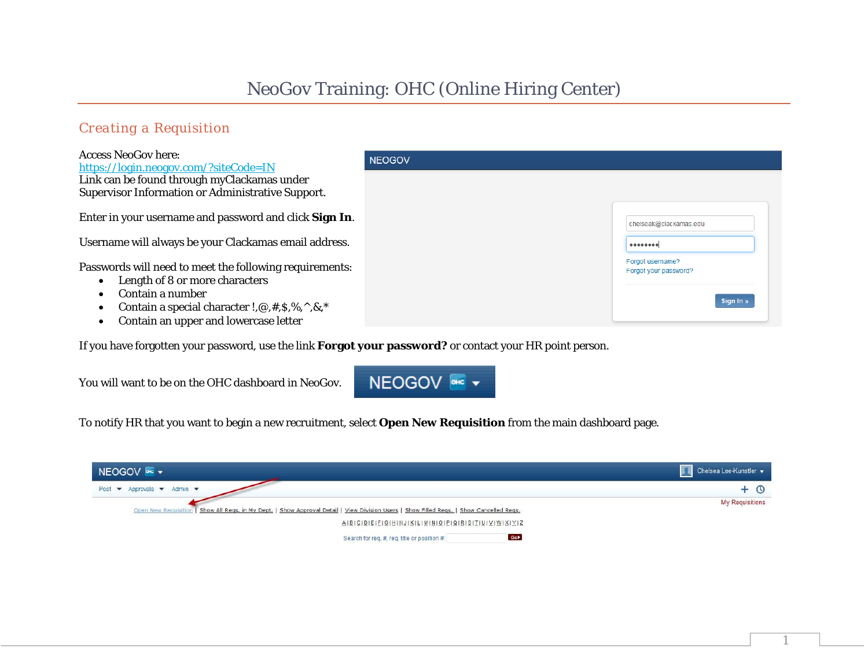## NeoGov Training: OHC (Online Hiring Center)

### *Creating a Requisition*

| <b>Access NeoGov here:</b><br>https://login.neogov.com/?siteCode=IN                                                                                                                                                          | <b>NEOGOV</b> |                                                        |
|------------------------------------------------------------------------------------------------------------------------------------------------------------------------------------------------------------------------------|---------------|--------------------------------------------------------|
| Link can be found through myClackamas under<br>Supervisor Information or Administrative Support.                                                                                                                             |               |                                                        |
| Enter in your username and password and click Sign In.                                                                                                                                                                       |               | chelseak@clackamas.edu                                 |
| Username will always be your Clackamas email address.                                                                                                                                                                        |               |                                                        |
| Passwords will need to meet the following requirements:<br>Length of 8 or more characters<br>Contain a number<br>Contain a special character !, $\omega$ , #, \$,%, $\wedge$ , &, *<br>Contain an upper and lowercase letter |               | Forgot username?<br>Forgot your password?<br>Sign In » |
| TC 1 C 1 . 1 . 1 . 1 . 1                                                                                                                                                                                                     |               |                                                        |

If you have forgotten your password, use the link **Forgot your password?** or contact your HR point person.

You will want to be on the OHC dashboard in NeoGov.

# NEOGOV <sup>one</sup> v

To notify HR that you want to begin a new recruitment, select **Open New Requisition** from the main dashboard page.

| NEOGOV ONE Y                                                                                                                              | Chelsea Lee-Kunstler   |
|-------------------------------------------------------------------------------------------------------------------------------------------|------------------------|
| Post $\blacktriangledown$ Approvals $\blacktriangledown$ Admin $\blacktriangledown$                                                       | $+$ $\circ$            |
| Open New Requisition   Show All Regs. in My Dept.   Show Approval Detail   View Division Users   Show Filled Regs.   Show Cancelled Regs. | <b>My Requisitions</b> |
| $\Delta  B  C  D  E  E  C  H   I  J  K  L  M  N  Q  P  Q  R  S  T  U  Y  W  X  Y  Z$                                                      |                        |
| Gol<br>Search for req. #, req. title or position #.                                                                                       |                        |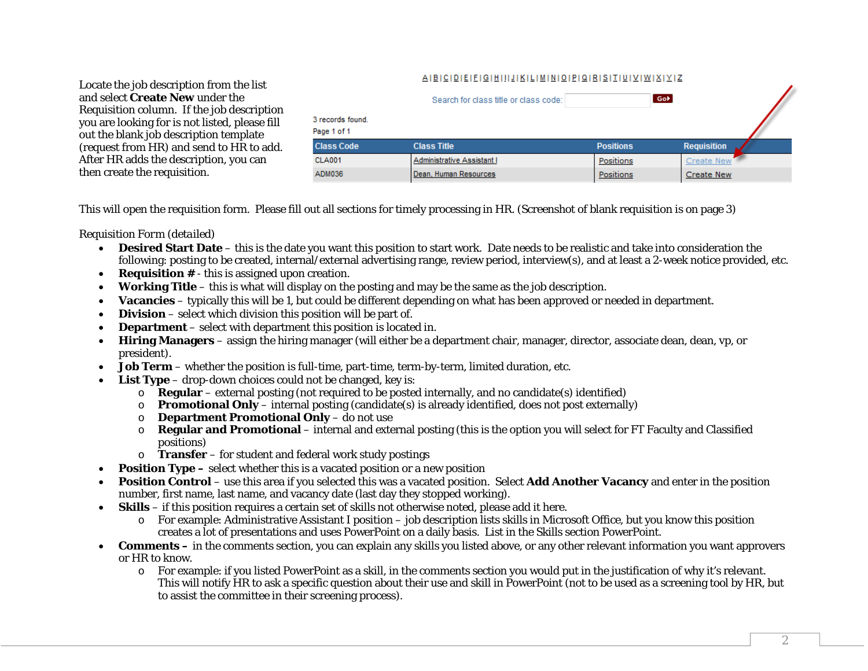### AIBICIDIEIFIGIHIIIJIKILIMINIOIPIQIRISITIUIVIWIXIYIZ

Locate the job description from the list and select **Create New** under the Requisition column. If the job description you are looking for is not listed, please fill out the blank job description template (request from HR) and send to HR to add. After HR adds the description, you can then create the requisition.

| Search for class title or class code: |                            |                  | Gob |                    |  |  |
|---------------------------------------|----------------------------|------------------|-----|--------------------|--|--|
| 3 records found.<br>Page 1 of 1       |                            |                  |     |                    |  |  |
| <b>Class Code</b>                     | <b>Class Title</b>         | <b>Positions</b> |     | <b>Requisition</b> |  |  |
| <b>CLA001</b>                         | Administrative Assistant I | Positions        |     | Create New         |  |  |
| ADM036                                | Dean, Human Resources      | Positions        |     | <b>Create New</b>  |  |  |

This will open the requisition form. Please fill out all sections for timely processing in HR. (Screenshot of blank requisition is on page 3)

### *Requisition Form (detailed)*

- **Desired Start Date** this is the date you want this position to start work. Date needs to be realistic and take into consideration the following: posting to be created, internal/external advertising range, review period, interview(s), and at least a 2-week notice provided, etc.
- **Requisition #** this is assigned upon creation.
- $\bullet$ **Working Title** – this is what will display on the posting and may be the same as the job description.
- $\bullet$ **Vacancies** – typically this will be 1, but could be different depending on what has been approved or needed in department.
- $\bullet$ **Division** – select which division this position will be part of.
- $\bullet$ **Department** – select with department this position is located in.
- $\bullet$  **Hiring Managers** – assign the hiring manager (will either be a department chair, manager, director, associate dean, dean, vp, or president).
- $\bullet$ **Job Term** – whether the position is full-time, part-time, term-by-term, limited duration, etc.
- **List Type** drop-down choices could not be changed, key is:
	- o **Regular** external posting (not required to be posted internally, and no candidate(s) identified)
	- o**Promotional Only** – internal posting (candidate(s) is already identified, does not post externally)
	- o**Department Promotional Only** – do not use
	- o **Regular and Promotional** – internal and external posting (this is the option you will select for FT Faculty and Classified positions)
	- o **Transfer** for student and federal work study postings
- **Position Type** select whether this is a vacated position or a new position
- **Position Control**  use this area if you selected this was a vacated position. Select **Add Another Vacancy** and enter in the position number, first name, last name, and vacancy date (last day they stopped working).
- **Skills**  if this position requires a certain set of skills not otherwise noted, please add it here.
	- o For example: Administrative Assistant I position job description lists skills in Microsoft Office, but you know this position creates a lot of presentations and uses PowerPoint on a daily basis. List in the Skills section PowerPoint.
- $\bullet$ **Comments** – in the comments section, you can explain any skills you listed above, or any other relevant information you want approvers or HR to know.
	- o For example: if you listed PowerPoint as a skill, in the comments section you would put in the justification of why it's relevant. This will notify HR to ask a specific question about their use and skill in PowerPoint (not to be used as a screening tool by HR, but to assist the committee in their screening process).

 $\mathcal{L}$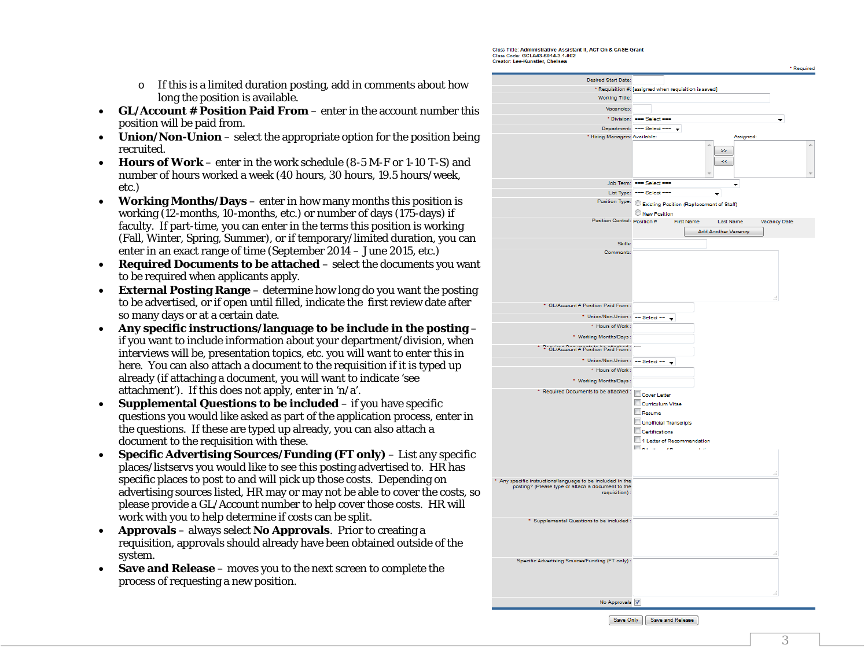Class Title: Administrative Assistant II, ACT On & CASE Grant Class Code: GCLA43-6014-3.1-002

- o If this is a limited duration posting, add in comments about how long the position is available.
- $\bullet$  **GL/Account # Position Paid From** – enter in the account number this position will be paid from.
- **Union/Non-Union** select the appropriate option for the position being recruited.
- $\bullet$  **Hours of Work** – enter in the work schedule (8-5 M-F or 1-10 T-S) and number of hours worked a week (40 hours, 30 hours, 19.5 hours/week, etc.)
- **Working Months/Days** enter in how many months this position is working (12-months, 10-months, etc.) or number of days (175-days) if faculty. If part-time, you can enter in the terms this position is working (Fall, Winter, Spring, Summer), or if temporary/limited duration, you can enter in an exact range of time (September 2014 – June 2015, etc.)
- $\bullet$  **Required Documents to be attached** – select the documents you want to be required when applicants apply.
- **External Posting Range** determine how long do you want the posting to be advertised, or if open until filled, indicate the first review date after so many days or at a certain date.
- $\bullet$  **Any specific instructions/language to be include in the posting** – if you want to include information about your department/division, when interviews will be, presentation topics, etc. you will want to enter this in here. You can also attach a document to the requisition if it is typed up already (if attaching a document, you will want to indicate 'see attachment'). If this does not apply, enter in 'n/a'.
- $\bullet$  **Supplemental Questions to be included** – if you have specific questions you would like asked as part of the application process, enter in the questions. If these are typed up already, you can also attach a document to the requisition with these.
- $\bullet$  **Specific Advertising Sources/Funding (FT only)** – List any specific places/listservs you would like to see this posting advertised to. HR has specific places to post to and will pick up those costs. Depending on advertising sources listed, HR may or may not be able to cover the costs, so please provide a GL/Account number to help cover those costs. HR will work with you to help determine if costs can be split.
- $\bullet$  **Approvals** – always select **No Approvals**. Prior to creating a requisition, approvals should already have been obtained outside of the system.
- $\bullet$  **Save and Release** – moves you to the next screen to complete the process of requesting a new position.

| Desired Start Date:                                                                                           |                                                                                                                                                            |
|---------------------------------------------------------------------------------------------------------------|------------------------------------------------------------------------------------------------------------------------------------------------------------|
| Working Title:                                                                                                | * Requisition #: [assigned when requisition is saved]                                                                                                      |
|                                                                                                               |                                                                                                                                                            |
| Vacancies:                                                                                                    |                                                                                                                                                            |
|                                                                                                               | * Division: === Select ===                                                                                                                                 |
|                                                                                                               | Department: === Select === +                                                                                                                               |
| * Hiring Managers: Available:                                                                                 | Assigned:<br>Ä<br>À                                                                                                                                        |
|                                                                                                               | 55<br>44                                                                                                                                                   |
|                                                                                                               | Job Term: === Select ===                                                                                                                                   |
|                                                                                                               | ÷<br>List Type: === Select ===                                                                                                                             |
|                                                                                                               | ٠                                                                                                                                                          |
|                                                                                                               | Position Type: C Existing Position (Replacement of Staff)                                                                                                  |
| Position Control: Position #                                                                                  | New Position                                                                                                                                               |
|                                                                                                               | First Name<br><b>Last Name</b><br>Vacancy Date                                                                                                             |
|                                                                                                               | Add Another Vacancy                                                                                                                                        |
| Skills:                                                                                                       |                                                                                                                                                            |
| Comments:                                                                                                     |                                                                                                                                                            |
| * GL/Account # Position Paid From:                                                                            |                                                                                                                                                            |
| * Union/Non-Union : == Select == $\rightarrow$                                                                |                                                                                                                                                            |
| * Hours of Work:                                                                                              |                                                                                                                                                            |
| * Working Months/Days:                                                                                        |                                                                                                                                                            |
|                                                                                                               |                                                                                                                                                            |
| * <sup>2</sup> GL/Account # Position Paid From :                                                              |                                                                                                                                                            |
| * Union/Non-Union : == Select ==                                                                              | $\overline{\phantom{a}}$                                                                                                                                   |
| * Hours of Work:                                                                                              |                                                                                                                                                            |
| * Working Months/Days:                                                                                        |                                                                                                                                                            |
| * Required Documents to be attached :                                                                         | Cover Letter<br>Curriculum Vitae<br>Resume<br>Unofficial Transcripts<br>Certifications<br>1 Letter of Recommendation<br>Flash of<br>$\sim$<br>$\alpha$ and |
| Any specific instructions/language to be included in the<br>posting? (Please type or attach a document to the | ă.                                                                                                                                                         |
| requisition):                                                                                                 | ă                                                                                                                                                          |
| * Supplemental Questions to be included :                                                                     |                                                                                                                                                            |
| Specific Advertising Sources/Funding (FT only):                                                               | Æ.                                                                                                                                                         |
|                                                                                                               | Æ                                                                                                                                                          |
| No Approvals V                                                                                                |                                                                                                                                                            |